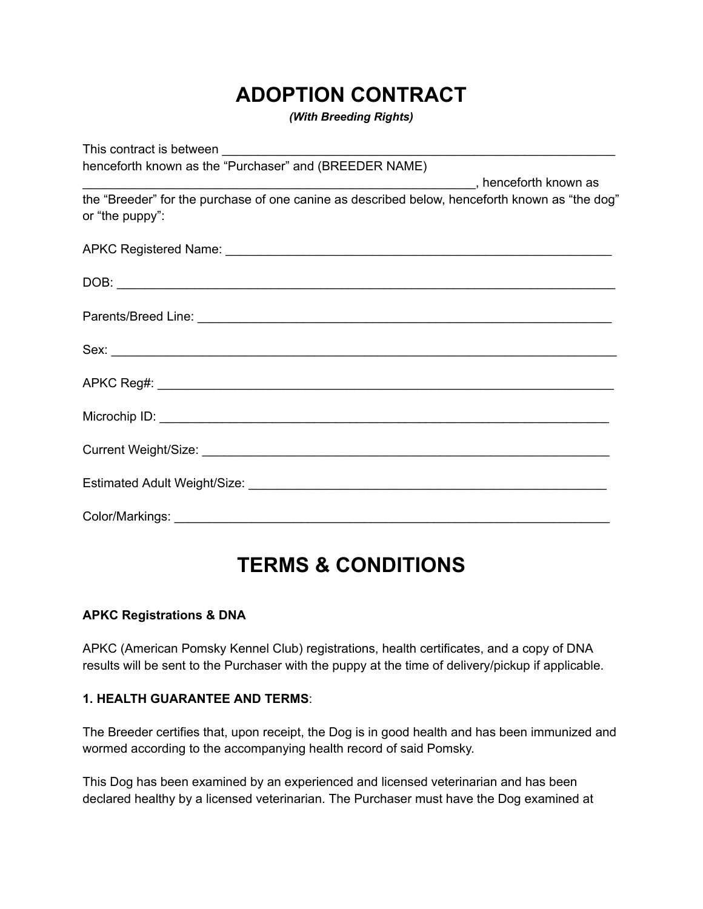## **ADOPTION CONTRACT**

*(With Breeding Rights)*

This contract is between henceforth known as the "Purchaser" and (BREEDER NAME) \_\_\_\_\_\_\_\_\_\_\_\_\_\_\_\_\_\_\_\_\_\_\_\_\_\_\_\_\_\_\_\_\_\_\_\_\_\_\_\_\_\_\_\_\_\_\_\_\_\_\_\_\_\_\_\_, henceforth known as the "Breeder" for the purchase of one canine as described below, henceforth known as "the dog" or "the puppy": APKC Registered Name: \_\_\_\_\_\_\_\_\_\_\_\_\_\_\_\_\_\_\_\_\_\_\_\_\_\_\_\_\_\_\_\_\_\_\_\_\_\_\_\_\_\_\_\_\_\_\_\_\_\_\_\_\_\_\_  $\Box$  OB: Parents/Breed Line: **Example 2018**  $Sex:$ APKC Reg#: Microchip ID:  $\blacksquare$ Current Weight/Size: \_\_\_\_\_\_\_\_\_\_\_\_\_\_\_\_\_\_\_\_\_\_\_\_\_\_\_\_\_\_\_\_\_\_\_\_\_\_\_\_\_\_\_\_\_\_\_\_\_\_\_\_\_\_\_\_\_\_ Estimated Adult Weight/Size: **Example 2018** Color/Markings:

# **TERMS & CONDITIONS**

## **APKC Registrations & DNA**

APKC (American Pomsky Kennel Club) registrations, health certificates, and a copy of DNA results will be sent to the Purchaser with the puppy at the time of delivery/pickup if applicable.

#### **1. HEALTH GUARANTEE AND TERMS**:

The Breeder certifies that, upon receipt, the Dog is in good health and has been immunized and wormed according to the accompanying health record of said Pomsky.

This Dog has been examined by an experienced and licensed veterinarian and has been declared healthy by a licensed veterinarian. The Purchaser must have the Dog examined at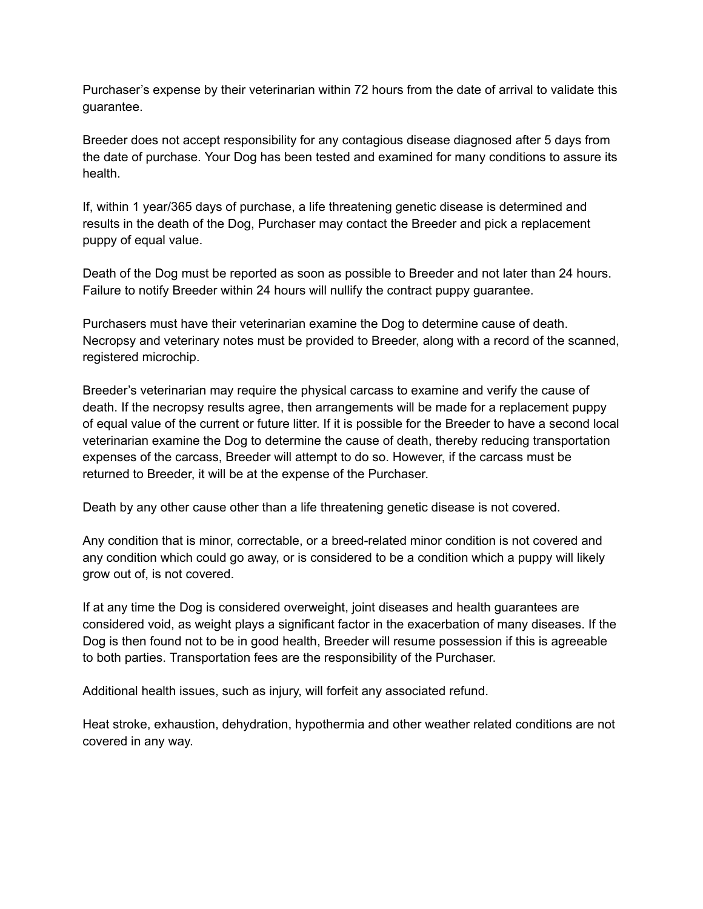Purchaser's expense by their veterinarian within 72 hours from the date of arrival to validate this guarantee.

Breeder does not accept responsibility for any contagious disease diagnosed after 5 days from the date of purchase. Your Dog has been tested and examined for many conditions to assure its health.

If, within 1 year/365 days of purchase, a life threatening genetic disease is determined and results in the death of the Dog, Purchaser may contact the Breeder and pick a replacement puppy of equal value.

Death of the Dog must be reported as soon as possible to Breeder and not later than 24 hours. Failure to notify Breeder within 24 hours will nullify the contract puppy guarantee.

Purchasers must have their veterinarian examine the Dog to determine cause of death. Necropsy and veterinary notes must be provided to Breeder, along with a record of the scanned, registered microchip.

Breeder's veterinarian may require the physical carcass to examine and verify the cause of death. If the necropsy results agree, then arrangements will be made for a replacement puppy of equal value of the current or future litter. If it is possible for the Breeder to have a second local veterinarian examine the Dog to determine the cause of death, thereby reducing transportation expenses of the carcass, Breeder will attempt to do so. However, if the carcass must be returned to Breeder, it will be at the expense of the Purchaser.

Death by any other cause other than a life threatening genetic disease is not covered.

Any condition that is minor, correctable, or a breed-related minor condition is not covered and any condition which could go away, or is considered to be a condition which a puppy will likely grow out of, is not covered.

If at any time the Dog is considered overweight, joint diseases and health guarantees are considered void, as weight plays a significant factor in the exacerbation of many diseases. If the Dog is then found not to be in good health, Breeder will resume possession if this is agreeable to both parties. Transportation fees are the responsibility of the Purchaser.

Additional health issues, such as injury, will forfeit any associated refund.

Heat stroke, exhaustion, dehydration, hypothermia and other weather related conditions are not covered in any way.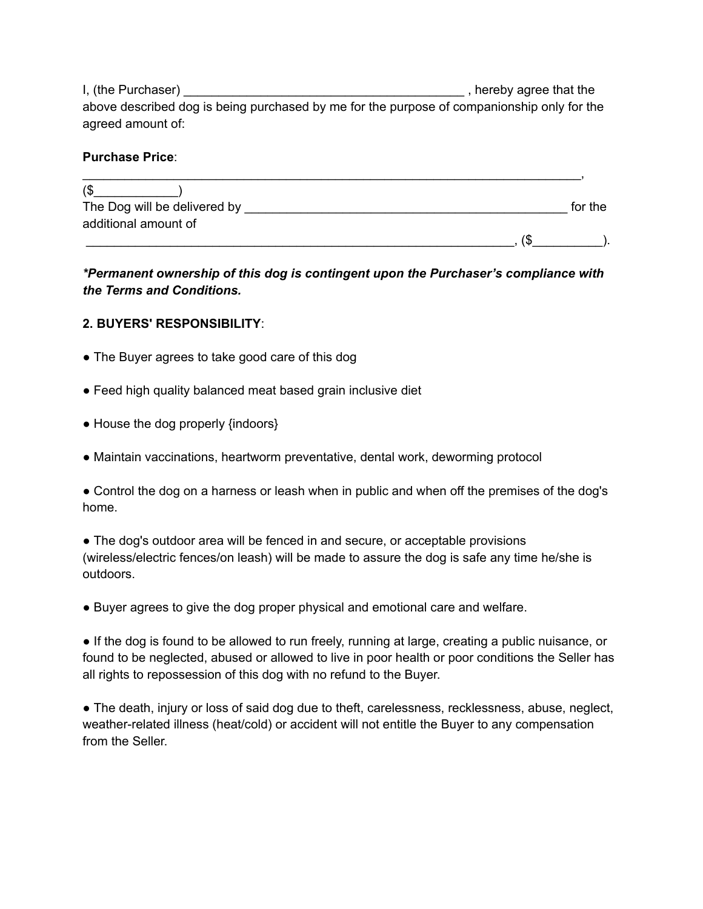I, (the Purchaser) \_\_\_\_\_\_\_\_\_\_\_\_\_\_\_\_\_\_\_\_\_\_\_\_\_\_\_\_\_\_\_\_\_\_\_\_\_\_\_\_ , hereby agree that the above described dog is being purchased by me for the purpose of companionship only for the agreed amount of:

#### **Purchase Price**:

| 1\$                          |         |
|------------------------------|---------|
| The Dog will be delivered by | for the |
| additional amount of         |         |
|                              |         |

## *\*Permanent ownership of this dog is contingent upon the Purchaser's compliance with the Terms and Conditions.*

#### **2. BUYERS' RESPONSIBILITY**:

- The Buyer agrees to take good care of this dog
- Feed high quality balanced meat based grain inclusive diet
- House the dog properly {indoors}
- Maintain vaccinations, heartworm preventative, dental work, deworming protocol

● Control the dog on a harness or leash when in public and when off the premises of the dog's home.

• The dog's outdoor area will be fenced in and secure, or acceptable provisions (wireless/electric fences/on leash) will be made to assure the dog is safe any time he/she is outdoors.

● Buyer agrees to give the dog proper physical and emotional care and welfare.

● If the dog is found to be allowed to run freely, running at large, creating a public nuisance, or found to be neglected, abused or allowed to live in poor health or poor conditions the Seller has all rights to repossession of this dog with no refund to the Buyer.

● The death, injury or loss of said dog due to theft, carelessness, recklessness, abuse, neglect, weather-related illness (heat/cold) or accident will not entitle the Buyer to any compensation from the Seller.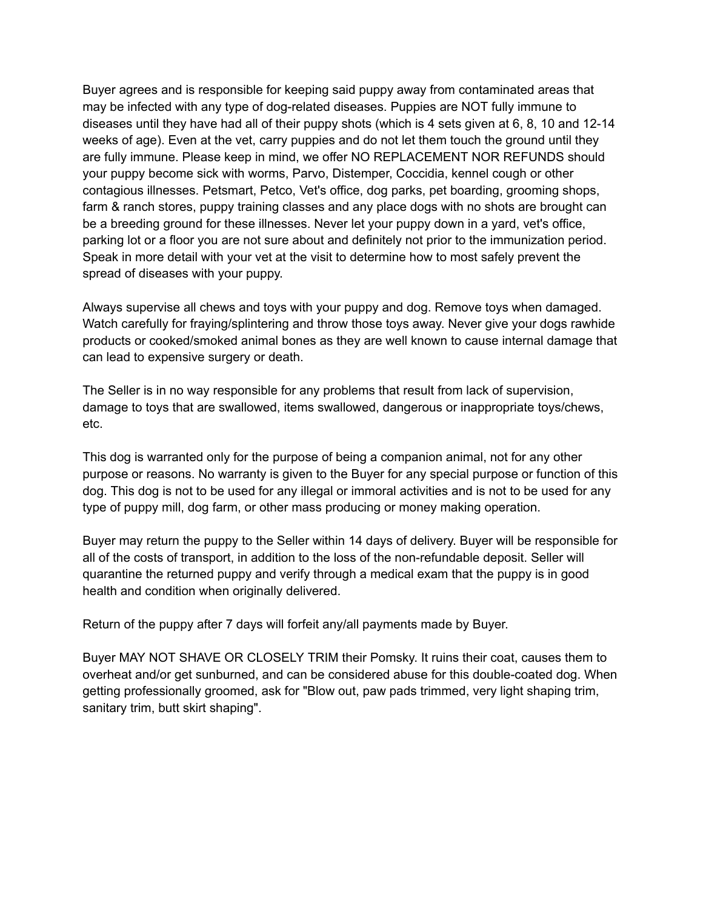Buyer agrees and is responsible for keeping said puppy away from contaminated areas that may be infected with any type of dog-related diseases. Puppies are NOT fully immune to diseases until they have had all of their puppy shots (which is 4 sets given at 6, 8, 10 and 12-14 weeks of age). Even at the vet, carry puppies and do not let them touch the ground until they are fully immune. Please keep in mind, we offer NO REPLACEMENT NOR REFUNDS should your puppy become sick with worms, Parvo, Distemper, Coccidia, kennel cough or other contagious illnesses. Petsmart, Petco, Vet's office, dog parks, pet boarding, grooming shops, farm & ranch stores, puppy training classes and any place dogs with no shots are brought can be a breeding ground for these illnesses. Never let your puppy down in a yard, vet's office, parking lot or a floor you are not sure about and definitely not prior to the immunization period. Speak in more detail with your vet at the visit to determine how to most safely prevent the spread of diseases with your puppy.

Always supervise all chews and toys with your puppy and dog. Remove toys when damaged. Watch carefully for fraying/splintering and throw those toys away. Never give your dogs rawhide products or cooked/smoked animal bones as they are well known to cause internal damage that can lead to expensive surgery or death.

The Seller is in no way responsible for any problems that result from lack of supervision, damage to toys that are swallowed, items swallowed, dangerous or inappropriate toys/chews, etc.

This dog is warranted only for the purpose of being a companion animal, not for any other purpose or reasons. No warranty is given to the Buyer for any special purpose or function of this dog. This dog is not to be used for any illegal or immoral activities and is not to be used for any type of puppy mill, dog farm, or other mass producing or money making operation.

Buyer may return the puppy to the Seller within 14 days of delivery. Buyer will be responsible for all of the costs of transport, in addition to the loss of the non-refundable deposit. Seller will quarantine the returned puppy and verify through a medical exam that the puppy is in good health and condition when originally delivered.

Return of the puppy after 7 days will forfeit any/all payments made by Buyer.

Buyer MAY NOT SHAVE OR CLOSELY TRIM their Pomsky. It ruins their coat, causes them to overheat and/or get sunburned, and can be considered abuse for this double-coated dog. When getting professionally groomed, ask for "Blow out, paw pads trimmed, very light shaping trim, sanitary trim, butt skirt shaping".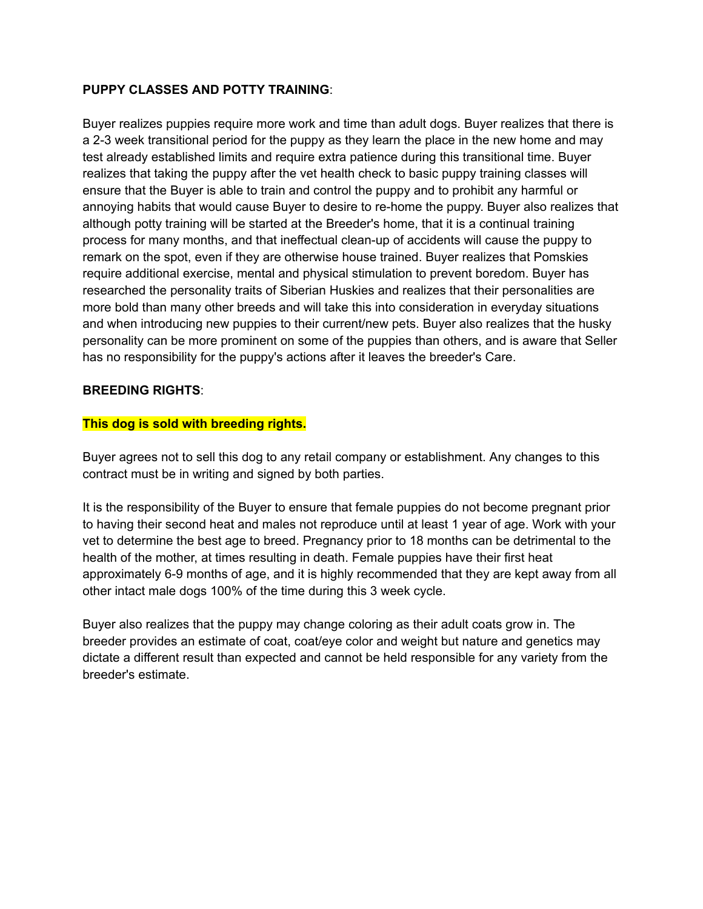#### **PUPPY CLASSES AND POTTY TRAINING**:

Buyer realizes puppies require more work and time than adult dogs. Buyer realizes that there is a 2-3 week transitional period for the puppy as they learn the place in the new home and may test already established limits and require extra patience during this transitional time. Buyer realizes that taking the puppy after the vet health check to basic puppy training classes will ensure that the Buyer is able to train and control the puppy and to prohibit any harmful or annoying habits that would cause Buyer to desire to re-home the puppy. Buyer also realizes that although potty training will be started at the Breeder's home, that it is a continual training process for many months, and that ineffectual clean-up of accidents will cause the puppy to remark on the spot, even if they are otherwise house trained. Buyer realizes that Pomskies require additional exercise, mental and physical stimulation to prevent boredom. Buyer has researched the personality traits of Siberian Huskies and realizes that their personalities are more bold than many other breeds and will take this into consideration in everyday situations and when introducing new puppies to their current/new pets. Buyer also realizes that the husky personality can be more prominent on some of the puppies than others, and is aware that Seller has no responsibility for the puppy's actions after it leaves the breeder's Care.

#### **BREEDING RIGHTS**:

### **This dog is sold with breeding rights.**

Buyer agrees not to sell this dog to any retail company or establishment. Any changes to this contract must be in writing and signed by both parties.

It is the responsibility of the Buyer to ensure that female puppies do not become pregnant prior to having their second heat and males not reproduce until at least 1 year of age. Work with your vet to determine the best age to breed. Pregnancy prior to 18 months can be detrimental to the health of the mother, at times resulting in death. Female puppies have their first heat approximately 6-9 months of age, and it is highly recommended that they are kept away from all other intact male dogs 100% of the time during this 3 week cycle.

Buyer also realizes that the puppy may change coloring as their adult coats grow in. The breeder provides an estimate of coat, coat/eye color and weight but nature and genetics may dictate a different result than expected and cannot be held responsible for any variety from the breeder's estimate.